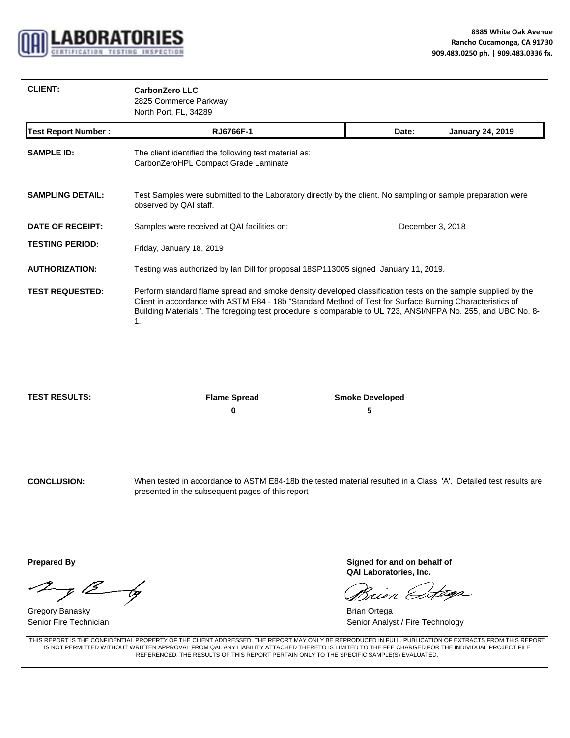

| <b>CLIENT:</b>             | <b>CarbonZero LLC</b><br>2825 Commerce Parkway<br>North Port, FL, 34289                                                                                                                                                                                                                                                                       |                  |                         |  |  |
|----------------------------|-----------------------------------------------------------------------------------------------------------------------------------------------------------------------------------------------------------------------------------------------------------------------------------------------------------------------------------------------|------------------|-------------------------|--|--|
| <b>Test Report Number:</b> | RJ6766F-1                                                                                                                                                                                                                                                                                                                                     | Date:            | <b>January 24, 2019</b> |  |  |
| <b>SAMPLE ID:</b>          | The client identified the following test material as:<br>CarbonZeroHPL Compact Grade Laminate                                                                                                                                                                                                                                                 |                  |                         |  |  |
| <b>SAMPLING DETAIL:</b>    | Test Samples were submitted to the Laboratory directly by the client. No sampling or sample preparation were<br>observed by QAI staff.                                                                                                                                                                                                        |                  |                         |  |  |
| <b>DATE OF RECEIPT:</b>    | Samples were received at QAI facilities on:                                                                                                                                                                                                                                                                                                   | December 3, 2018 |                         |  |  |
| <b>TESTING PERIOD:</b>     | Friday, January 18, 2019                                                                                                                                                                                                                                                                                                                      |                  |                         |  |  |
| <b>AUTHORIZATION:</b>      | Testing was authorized by Ian Dill for proposal 18SP113005 signed January 11, 2019.                                                                                                                                                                                                                                                           |                  |                         |  |  |
| <b>TEST REQUESTED:</b>     | Perform standard flame spread and smoke density developed classification tests on the sample supplied by the<br>Client in accordance with ASTM E84 - 18b "Standard Method of Test for Surface Burning Characteristics of<br>Building Materials". The foregoing test procedure is comparable to UL 723, ANSI/NFPA No. 255, and UBC No. 8-<br>1 |                  |                         |  |  |

**TEST RESULTS: Flame Spread Smoke Developed**

**0 5**

**CONCLUSION:** When tested in accordance to ASTM E84-18b the tested material resulted in a Class 'A'. Detailed test results are presented in the subsequent pages of this report

 $\mathcal{I}_{\mathcal{J}}$  12 by

Gregory Banasky **Brian Ortega** Senior Fire Technician

**Prepared By Signed for and on behalf of and structure in the Signed for and on behalf of QAI Laboratories, Inc.**

téga Guin &

Senior Analyst / Fire Technology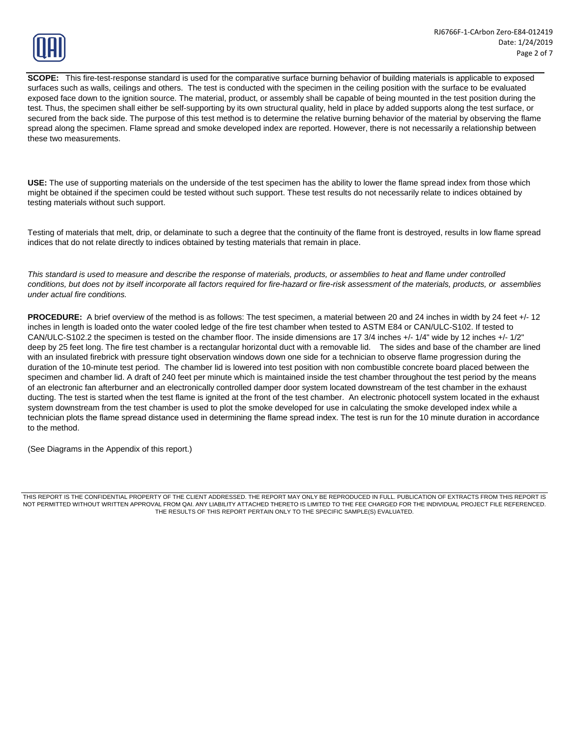

**SCOPE:** This fire-test-response standard is used for the comparative surface burning behavior of building materials is applicable to exposed surfaces such as walls, ceilings and others. The test is conducted with the specimen in the ceiling position with the surface to be evaluated exposed face down to the ignition source. The material, product, or assembly shall be capable of being mounted in the test position during the test. Thus, the specimen shall either be self-supporting by its own structural quality, held in place by added supports along the test surface, or secured from the back side. The purpose of this test method is to determine the relative burning behavior of the material by observing the flame spread along the specimen. Flame spread and smoke developed index are reported. However, there is not necessarily a relationship between these two measurements.

**USE:** The use of supporting materials on the underside of the test specimen has the ability to lower the flame spread index from those which might be obtained if the specimen could be tested without such support. These test results do not necessarily relate to indices obtained by testing materials without such support.

Testing of materials that melt, drip, or delaminate to such a degree that the continuity of the flame front is destroyed, results in low flame spread indices that do not relate directly to indices obtained by testing materials that remain in place. indices that do not relate directly to indices obtained by testing materials that remain in

*This standard is used to measure and describe the response of materials, products, or assemblies to heat and flame under controlled conditions, but does not by itself incorporate all factors required for fire-hazard or fire-risk assessment of the materials, products, or assemblies under actual fire conditions.*

**PROCEDURE:** A brief overview of the method is as follows: The test specimen, a material between 20 and 24 inches in width by 24 feet +/- 12 inches in length is loaded onto the water cooled ledge of the fire test chamber when tested to ASTM E84 or CAN/ULC-S102. If tested to CAN/ULC-S102.2 the specimen is tested on the chamber floor. The inside dimensions are 17 3/4 inches +/- 1/4" wide by 12 inches +/- 1/2" deep by 25 feet long. The fire test chamber is a rectangular horizontal duct with a removable lid. The sides and base of the chamber are lined with an insulated firebrick with pressure tight observation windows down one side for a technician to observe flame progression during the duration of the 10-minute test period. The chamber lid is lowered into test position with non combustible concrete board placed between the specimen and chamber lid. A draft of 240 feet per minute which is maintained inside the test chamber throughout the test period by the means of an electronic fan afterburner and an electronically controlled damper door system located downstream of the test chamber in the exhaust ducting. The test is started when the test flame is ignited at the front of the test chamber. An electronic photocell system located in the exhaust system downstream from the test chamber is used to plot the smoke developed for use in calculating the smoke developed index while a technician plots the flame spread distance used in determining the flame spread index. The test is run for the 10 minute duration in accordance to the method.

(See Diagrams in the Appendix of this report.)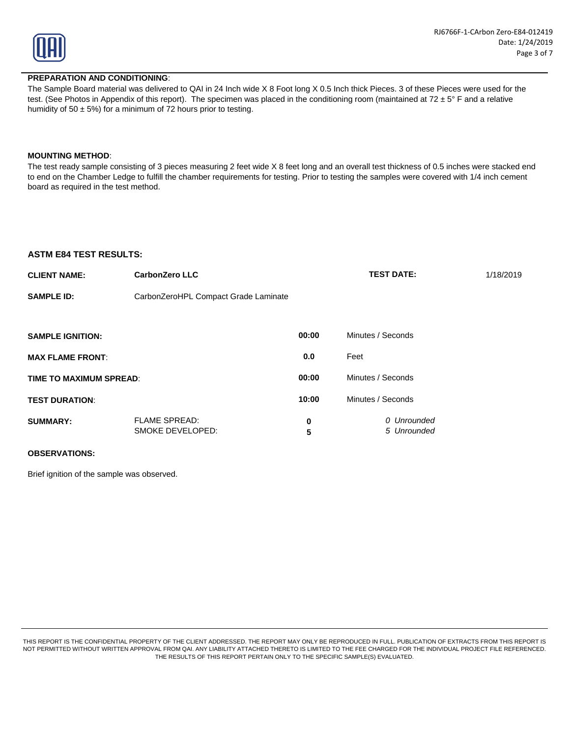

### **PREPARATION AND CONDITIONING**:

The Sample Board material was delivered to QAI in 24 Inch wide X 8 Foot long X 0.5 Inch thick Pieces. 3 of these Pieces were used for the test. (See Photos in Appendix of this report). The specimen was placed in the conditioning room (maintained at  $72 \pm 5^\circ$  F and a relative humidity of 50  $\pm$  5%) for a minimum of 72 hours prior to testing.

#### **MOUNTING METHOD**: **MOUNTING**

The test ready sample consisting of 3 pieces measuring 2 feet wide X 8 feet long and an overall test thickness of 0.5 inches were stacked end to end on the Chamber Ledge to fulfill the chamber requirements for testing. Prior to testing the samples were covered with 1/4 inch cement board as required in the test method.

### **ASTM E84 TEST RESULTS:**

| <b>CLIENT NAME:</b><br><b>CarbonZero LLC</b> |                                          |        | <b>TEST DATE:</b><br>1/18/2019 |  |  |  |
|----------------------------------------------|------------------------------------------|--------|--------------------------------|--|--|--|
| <b>SAMPLE ID:</b>                            | CarbonZeroHPL Compact Grade Laminate     |        |                                |  |  |  |
|                                              |                                          |        |                                |  |  |  |
| <b>SAMPLE IGNITION:</b>                      |                                          | 00:00  | Minutes / Seconds              |  |  |  |
| <b>MAX FLAME FRONT:</b>                      |                                          | 0.0    | Feet                           |  |  |  |
| TIME TO MAXIMUM SPREAD:                      |                                          | 00:00  | Minutes / Seconds              |  |  |  |
| <b>TEST DURATION:</b>                        |                                          | 10:00  | Minutes / Seconds              |  |  |  |
| <b>SUMMARY:</b>                              | <b>FLAME SPREAD:</b><br>SMOKE DEVELOPED: | 0<br>5 | 0 Unrounded<br>5 Unrounded     |  |  |  |

### **OBSERVATIONS:**

Brief ignition of the sample was observed.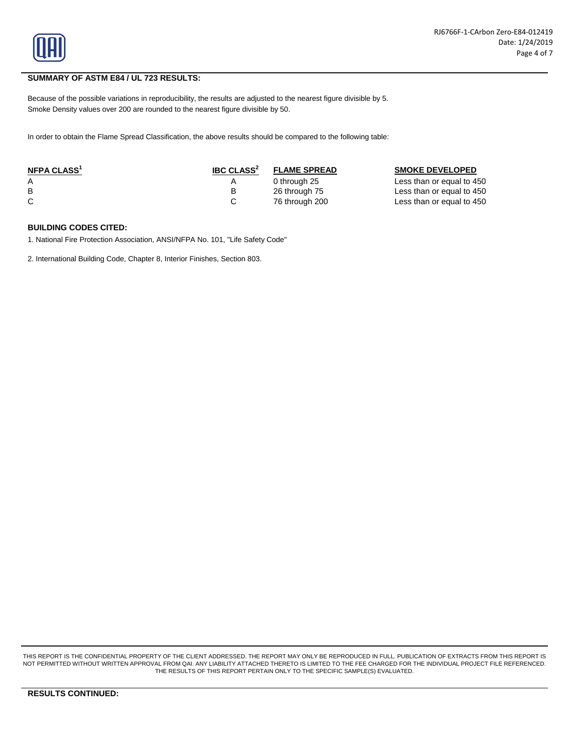

## **SUMMARY OF ASTM E84 / UL 723 RESULTS:**

Because of the possible variations in reproducibility, the results are adjusted to the nearest figure divisible by 5. Smoke Density values over 200 are rounded to the nearest figure divisible by 50.

In order to obtain the Flame Spread Classification, the above results should be compared to the following table:

| NFPA CLASS <sup>1</sup> | <b>IBC CLASS<sup>2</sup></b> | <b>FLAME SPREAD</b> | <b>SMOKE DEVELOPED</b>    |
|-------------------------|------------------------------|---------------------|---------------------------|
|                         |                              | 0 through 25        | Less than or equal to 450 |
| B                       |                              | 26 through 75       | Less than or equal to 450 |
|                         |                              | 76 through 200      | Less than or equal to 450 |

### **BUILDING CODES CITED:**

1. National Fire Protection Association, ANSI/NFPA No. 101, "Life Safety Code"

2. International Building Code, Chapter 8, Interior Finishes, Section 803.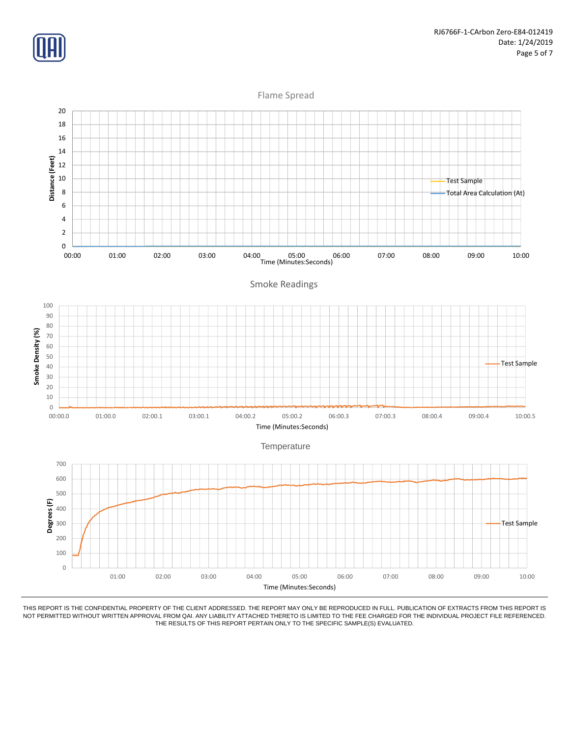

Flame Spread

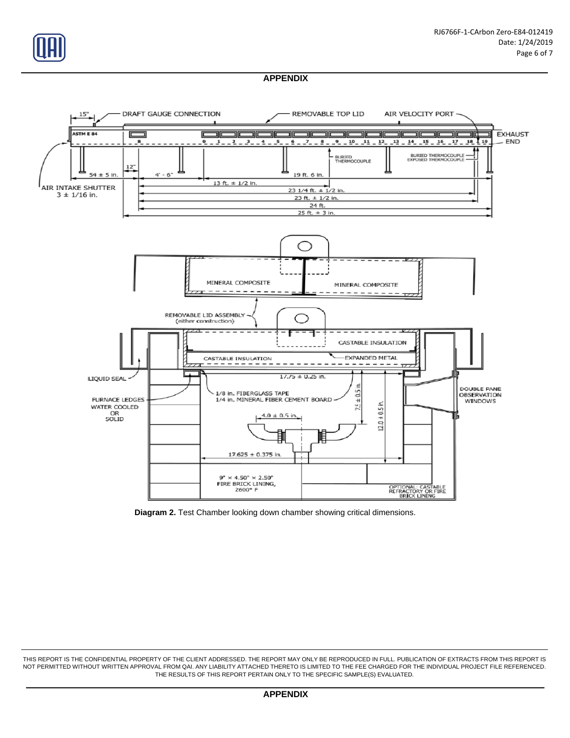

# **APPENDIX**



**Diagram 2.** Test Chamber looking down chamber showing critical dimensions.